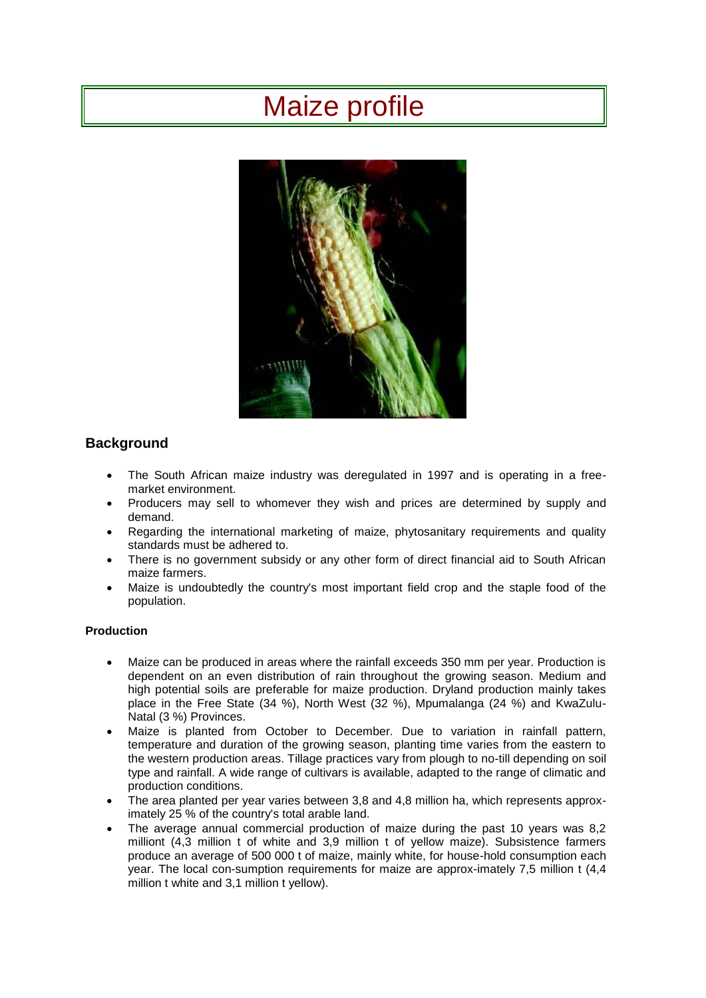# Maize profile



# **Background**

- The South African maize industry was deregulated in 1997 and is operating in a freemarket environment.
- Producers may sell to whomever they wish and prices are determined by supply and demand.
- Regarding the international marketing of maize, phytosanitary requirements and quality standards must be adhered to.
- There is no government subsidy or any other form of direct financial aid to South African maize farmers.
- Maize is undoubtedly the country's most important field crop and the staple food of the population.

# **Production**

- Maize can be produced in areas where the rainfall exceeds 350 mm per year. Production is dependent on an even distribution of rain throughout the growing season. Medium and high potential soils are preferable for maize production. Dryland production mainly takes place in the Free State (34 %), North West (32 %), Mpumalanga (24 %) and KwaZulu-Natal (3 %) Provinces.
- Maize is planted from October to December. Due to variation in rainfall pattern, temperature and duration of the growing season, planting time varies from the eastern to the western production areas. Tillage practices vary from plough to no-till depending on soil type and rainfall. A wide range of cultivars is available, adapted to the range of climatic and production conditions.
- The area planted per year varies between 3,8 and 4,8 million ha, which represents approximately 25 % of the country's total arable land.
- The average annual commercial production of maize during the past 10 years was 8,2 milliont (4,3 million t of white and 3,9 million t of yellow maize). Subsistence farmers produce an average of 500 000 t of maize, mainly white, for house-hold consumption each year. The local con-sumption requirements for maize are approx-imately 7,5 million t (4,4 million t white and 3,1 million t yellow).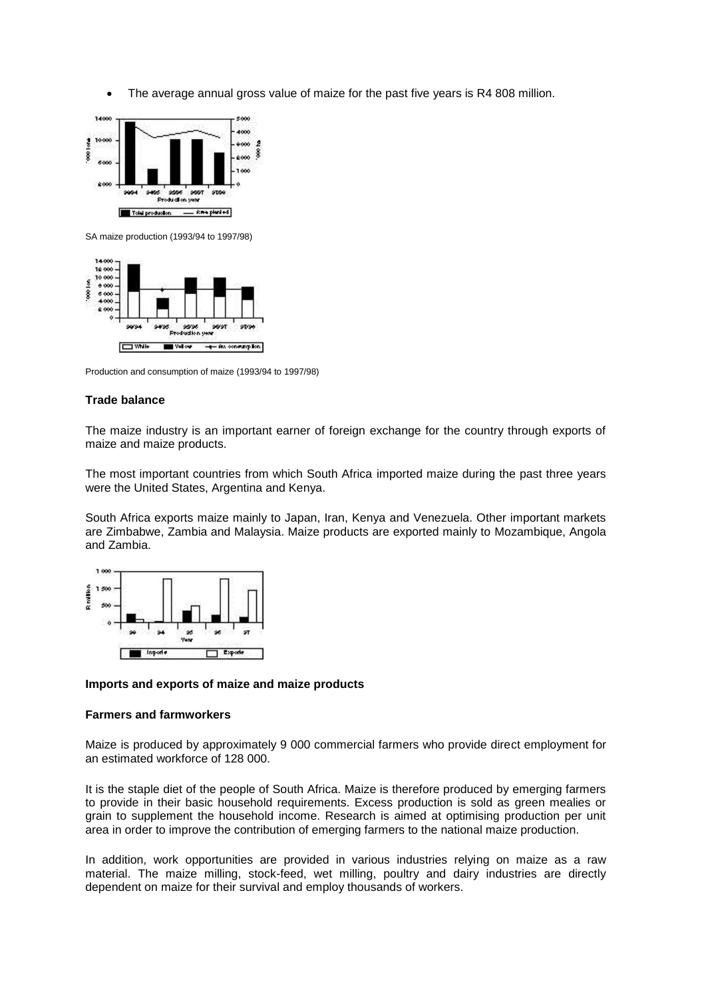The average annual gross value of maize for the past five years is R4 808 million.



SA maize production (1993/94 to 1997/98)



Production and consumption of maize (1993/94 to 1997/98)

#### **Trade balance**

The maize industry is an important earner of foreign exchange for the country through exports of maize and maize products.

The most important countries from which South Africa imported maize during the past three years were the United States, Argentina and Kenya.

South Africa exports maize mainly to Japan, Iran, Kenya and Venezuela. Other important markets are Zimbabwe, Zambia and Malaysia. Maize products are exported mainly to Mozambique, Angola and Zambia.



#### **Imports and exports of maize and maize products**

#### **Farmers and farmworkers**

Maize is produced by approximately 9 000 commercial farmers who provide direct employment for an estimated workforce of 128 000.

It is the staple diet of the people of South Africa. Maize is therefore produced by emerging farmers to provide in their basic household requirements. Excess production is sold as green mealies or grain to supplement the household income. Research is aimed at optimising production per unit area in order to improve the contribution of emerging farmers to the national maize production.

In addition, work opportunities are provided in various industries relying on maize as a raw material. The maize milling, stock-feed, wet milling, poultry and dairy industries are directly dependent on maize for their survival and employ thousands of workers.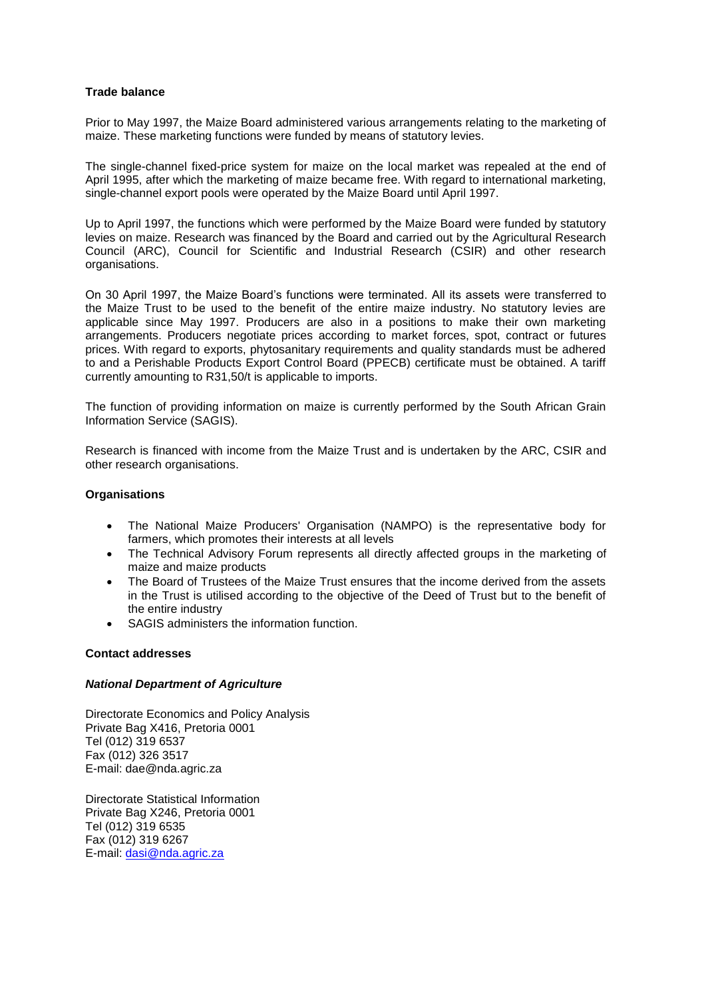## **Trade balance**

Prior to May 1997, the Maize Board administered various arrangements relating to the marketing of maize. These marketing functions were funded by means of statutory levies.

The single-channel fixed-price system for maize on the local market was repealed at the end of April 1995, after which the marketing of maize became free. With regard to international marketing, single-channel export pools were operated by the Maize Board until April 1997.

Up to April 1997, the functions which were performed by the Maize Board were funded by statutory levies on maize. Research was financed by the Board and carried out by the Agricultural Research Council (ARC), Council for Scientific and Industrial Research (CSIR) and other research organisations.

On 30 April 1997, the Maize Board's functions were terminated. All its assets were transferred to the Maize Trust to be used to the benefit of the entire maize industry. No statutory levies are applicable since May 1997. Producers are also in a positions to make their own marketing arrangements. Producers negotiate prices according to market forces, spot, contract or futures prices. With regard to exports, phytosanitary requirements and quality standards must be adhered to and a Perishable Products Export Control Board (PPECB) certificate must be obtained. A tariff currently amounting to R31,50/t is applicable to imports.

The function of providing information on maize is currently performed by the South African Grain Information Service (SAGIS).

Research is financed with income from the Maize Trust and is undertaken by the ARC, CSIR and other research organisations.

#### **Organisations**

- The National Maize Producers' Organisation (NAMPO) is the representative body for farmers, which promotes their interests at all levels
- The Technical Advisory Forum represents all directly affected groups in the marketing of maize and maize products
- The Board of Trustees of the Maize Trust ensures that the income derived from the assets in the Trust is utilised according to the objective of the Deed of Trust but to the benefit of the entire industry
- SAGIS administers the information function.

#### **Contact addresses**

#### *National Department of Agriculture*

Directorate Economics and Policy Analysis Private Bag X416, Pretoria 0001 Tel (012) 319 6537 Fax (012) 326 3517 E-mail: dae@nda.agric.za

Directorate Statistical Information Private Bag X246, Pretoria 0001 Tel (012) 319 6535 Fax (012) 319 6267 E-mail: [dasi@nda.agric.za](mailto:dasi@nda.agric.za)